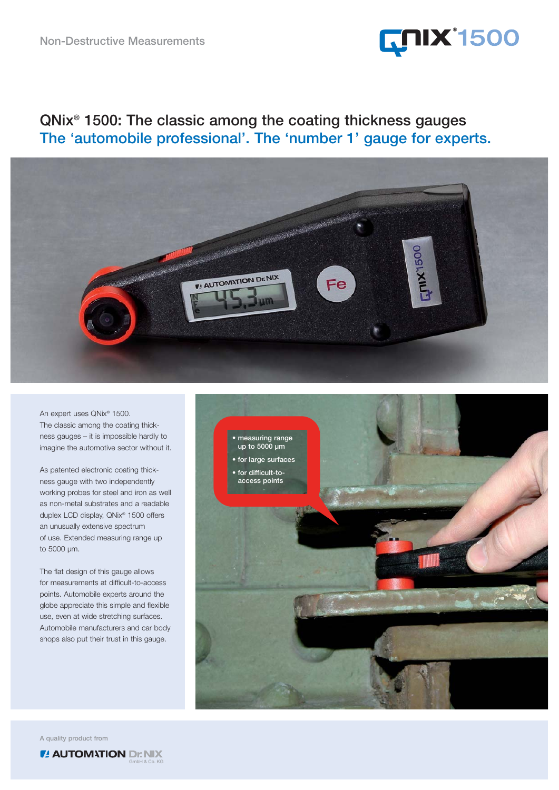

## **QNix® 1500: The classic among the coating thickness gauges The 'automobile professional'. The 'number 1' gauge for experts.**



An expert uses QNix® 1500. The classic among the coating thickness gauges – it is impossible hardly to imagine the automotive sector without it.

As patented electronic coating thickness gauge with two independently working probes for steel and iron as well as non-metal substrates and a readable duplex LCD display, QNix® 1500 offers an unusually extensive spectrum of use. Extended measuring range up to 5000 µm.

The flat design of this gauge allows for measurements at difficult-to-access points. Automobile experts around the globe appreciate this simple and flexible use, even at wide stretching surfaces. Automobile manufacturers and car body shops also put their trust in this gauge.



**A quality product from**